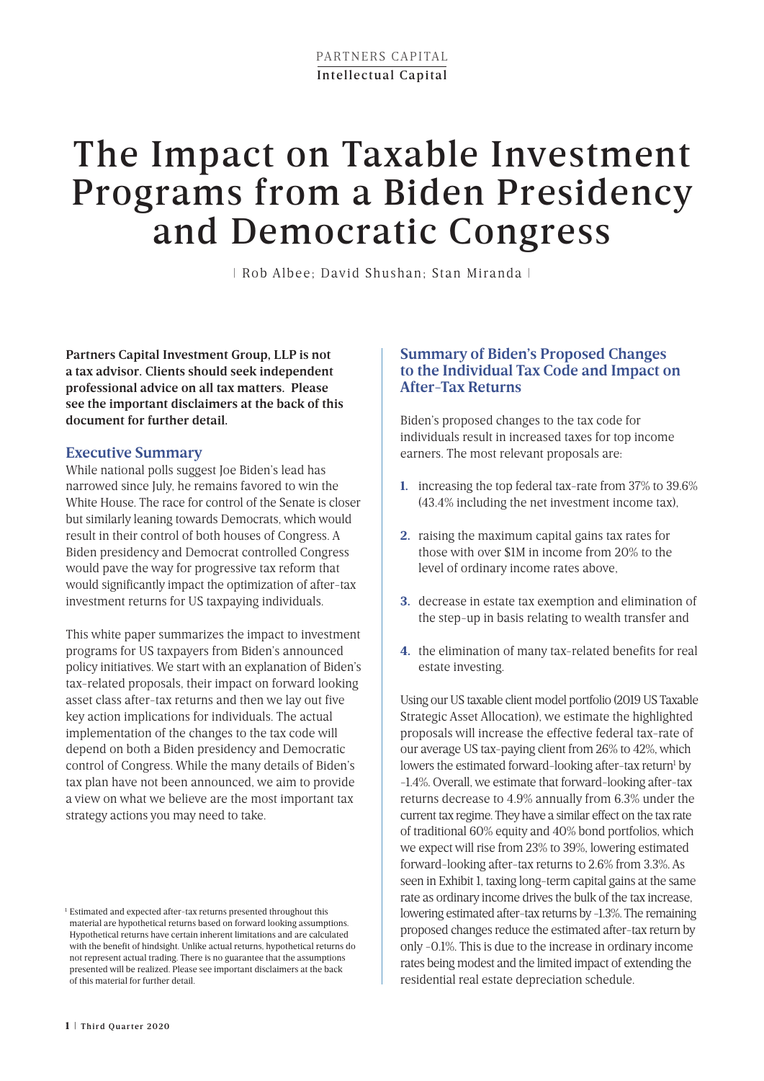# The Impact on Taxable Investment Programs from a Biden Presidency and Democratic Congress

| Rob Albee; David Shushan; Stan Miranda |

**Partners Capital Investment Group, LLP is not a tax advisor. Clients should seek independent professional advice on all tax matters. Please see the important disclaimers at the back of this document for further detail.**

# **Executive Summary**

While national polls suggest Joe Biden's lead has narrowed since July, he remains favored to win the White House. The race for control of the Senate is closer but similarly leaning towards Democrats, which would result in their control of both houses of Congress. A Biden presidency and Democrat controlled Congress would pave the way for progressive tax reform that would significantly impact the optimization of after-tax investment returns for US taxpaying individuals.

This white paper summarizes the impact to investment programs for US taxpayers from Biden's announced policy initiatives. We start with an explanation of Biden's tax-related proposals, their impact on forward looking asset class after-tax returns and then we lay out five key action implications for individuals. The actual implementation of the changes to the tax code will depend on both a Biden presidency and Democratic control of Congress. While the many details of Biden's tax plan have not been announced, we aim to provide a view on what we believe are the most important tax strategy actions you may need to take.

# **Summary of Biden's Proposed Changes to the Individual Tax Code and Impact on After-Tax Returns**

Biden's proposed changes to the tax code for individuals result in increased taxes for top income earners. The most relevant proposals are:

- **1.** increasing the top federal tax-rate from 37% to 39.6% (43.4% including the net investment income tax),
- **2.** raising the maximum capital gains tax rates for those with over \$1M in income from 20% to the level of ordinary income rates above,
- **3.** decrease in estate tax exemption and elimination of the step-up in basis relating to wealth transfer and
- **4.** the elimination of many tax-related benefits for real estate investing.

Using our US taxable client model portfolio (2019 US Taxable Strategic Asset Allocation), we estimate the highlighted proposals will increase the effective federal tax-rate of our average US tax-paying client from 26% to 42%, which lowers the estimated forward-looking after-tax return<sup>1</sup> by -1.4%. Overall, we estimate that forward-looking after-tax returns decrease to 4.9% annually from 6.3% under the current tax regime. They have a similar effect on the tax rate of traditional 60% equity and 40% bond portfolios, which we expect will rise from 23% to 39%, lowering estimated forward-looking after-tax returns to 2.6% from 3.3%. As seen in Exhibit 1, taxing long-term capital gains at the same rate as ordinary income drives the bulk of the tax increase, lowering estimated after-tax returns by -1.3%. The remaining proposed changes reduce the estimated after-tax return by only -0.1%. This is due to the increase in ordinary income rates being modest and the limited impact of extending the residential real estate depreciation schedule.

<sup>&</sup>lt;sup>1</sup> Estimated and expected after-tax returns presented throughout this material are hypothetical returns based on forward looking assumptions. Hypothetical returns have certain inherent limitations and are calculated with the benefit of hindsight. Unlike actual returns, hypothetical returns do not represent actual trading. There is no guarantee that the assumptions presented will be realized. Please see important disclaimers at the back of this material for further detail.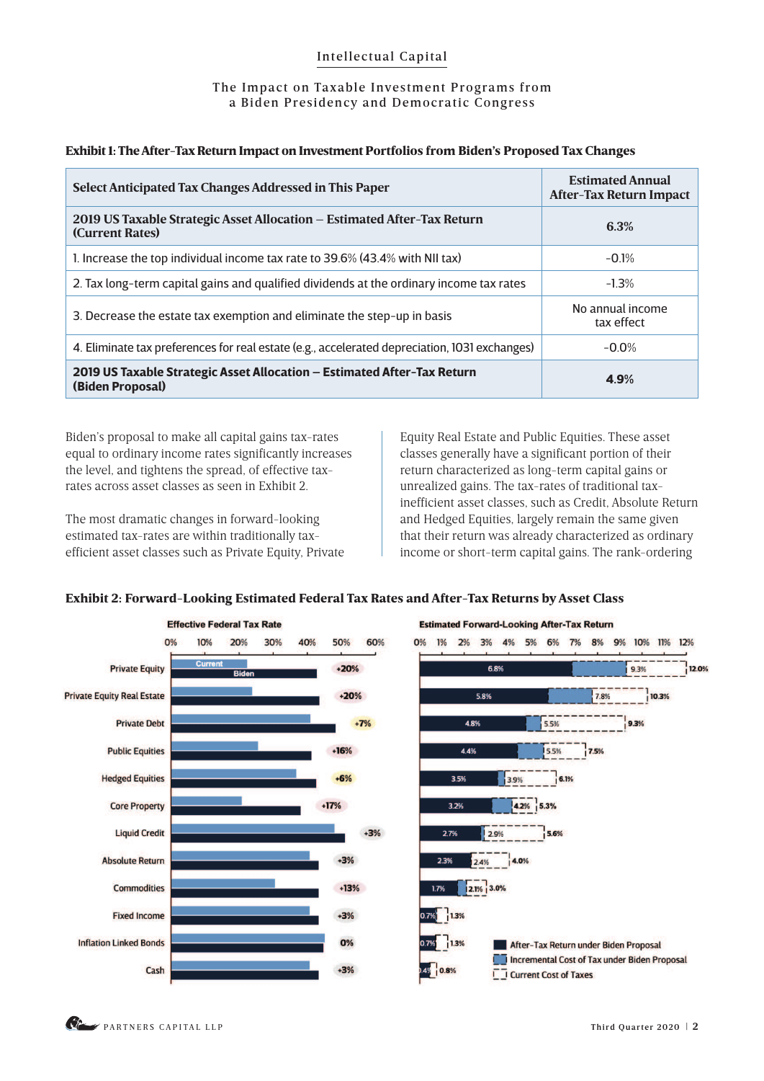#### The Impact on Taxable Investment Programs from a Biden Presidency and Democratic Congress

| Select Anticipated Tax Changes Addressed in This Paper                                        | <b>Estimated Annual</b><br><b>After-Tax Return Impact</b> |
|-----------------------------------------------------------------------------------------------|-----------------------------------------------------------|
| 2019 US Taxable Strategic Asset Allocation - Estimated After-Tax Return<br>(Current Rates)    | 6.3%                                                      |
| 1. Increase the top individual income tax rate to 39.6% (43.4% with NII tax)                  | $-0.1%$                                                   |
| 2. Tax long-term capital gains and qualified dividends at the ordinary income tax rates       | $-1.3%$                                                   |
| 3. Decrease the estate tax exemption and eliminate the step-up in basis                       | No annual income<br>tax effect                            |
| 4. Eliminate tax preferences for real estate (e.g., accelerated depreciation, 1031 exchanges) | $-0.0\%$                                                  |
| 2019 US Taxable Strategic Asset Allocation - Estimated After-Tax Return<br>(Biden Proposal)   | 4.9%                                                      |

#### Exhibit 1: The After-Tax Return Impact on Investment Portfolios from Biden's Proposed Tax Changes

Biden's proposal to make all capital gains tax-rates equal to ordinary income rates significantly increases the level, and tightens the spread, of effective taxrates across asset classes as seen in Exhibit 2.

The most dramatic changes in forward-looking estimated tax-rates are within traditionally taxefficient asset classes such as Private Equity, Private Equity Real Estate and Public Equities. These asset classes generally have a significant portion of their return characterized as long-term capital gains or unrealized gains. The tax-rates of traditional taxinefficient asset classes, such as Credit, Absolute Return and Hedged Equities, largely remain the same given that their return was already characterized as ordinary income or short-term capital gains. The rank-ordering

### Exhibit 2: Forward-Looking Estimated Federal Tax Rates and After-Tax Returns by Asset Class

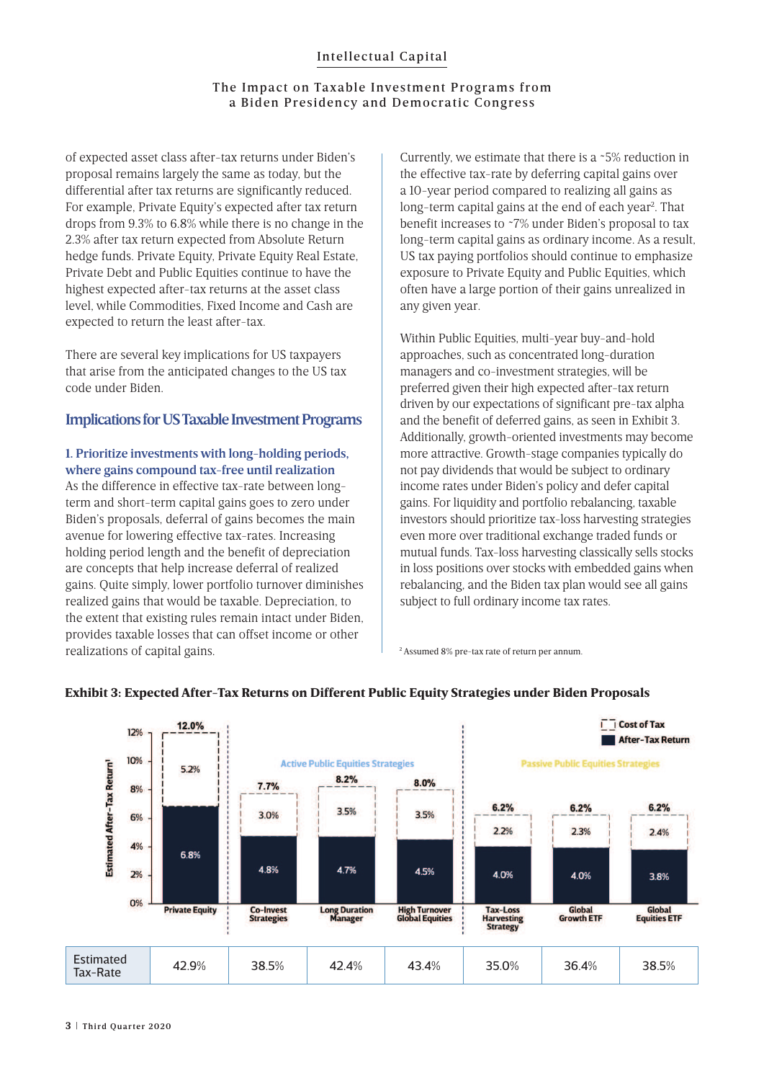#### The Impact on Taxable Investment Programs from a Biden Presidency and Democratic Congress

of expected asset class after-tax returns under Biden's proposal remains largely the same as today, but the differential after tax returns are significantly reduced. For example, Private Equity's expected after tax return drops from 9.3% to 6.8% while there is no change in the 2.3% after tax return expected from Absolute Return hedge funds. Private Equity, Private Equity Real Estate, Private Debt and Public Equities continue to have the highest expected after-tax returns at the asset class level, while Commodities, Fixed Income and Cash are expected to return the least after-tax.

There are several key implications for US taxpayers that arise from the anticipated changes to the US tax code under Biden.

#### **Implications for US Taxable Investment Programs**

#### **1. Prioritize investments with long-holding periods, where gains compound tax-free until realization**

As the difference in effective tax-rate between longterm and short-term capital gains goes to zero under Biden's proposals, deferral of gains becomes the main avenue for lowering effective tax-rates. Increasing holding period length and the benefit of depreciation are concepts that help increase deferral of realized gains. Quite simply, lower portfolio turnover diminishes realized gains that would be taxable. Depreciation, to the extent that existing rules remain intact under Biden, provides taxable losses that can offset income or other realizations of capital gains.

Currently, we estimate that there is a ~5% reduction in the effective tax-rate by deferring capital gains over a 10-year period compared to realizing all gains as long-term capital gains at the end of each year<sup>2</sup>. That benefit increases to ~7% under Biden's proposal to tax long-term capital gains as ordinary income. As a result, US tax paying portfolios should continue to emphasize exposure to Private Equity and Public Equities, which often have a large portion of their gains unrealized in any given year.

Within Public Equities, multi-year buy-and-hold approaches, such as concentrated long-duration managers and co-investment strategies, will be preferred given their high expected after-tax return driven by our expectations of significant pre-tax alpha and the benefit of deferred gains, as seen in Exhibit 3. Additionally, growth-oriented investments may become more attractive. Growth-stage companies typically do not pay dividends that would be subject to ordinary income rates under Biden's policy and defer capital gains. For liquidity and portfolio rebalancing, taxable investors should prioritize tax-loss harvesting strategies even more over traditional exchange traded funds or mutual funds. Tax-loss harvesting classically sells stocks in loss positions over stocks with embedded gains when rebalancing, and the Biden tax plan would see all gains subject to full ordinary income tax rates.

2 Assumed 8% pre-tax rate of return per annum.



## Exhibit 3: Expected After-Tax Returns on Different Public Equity Strategies under Biden Proposals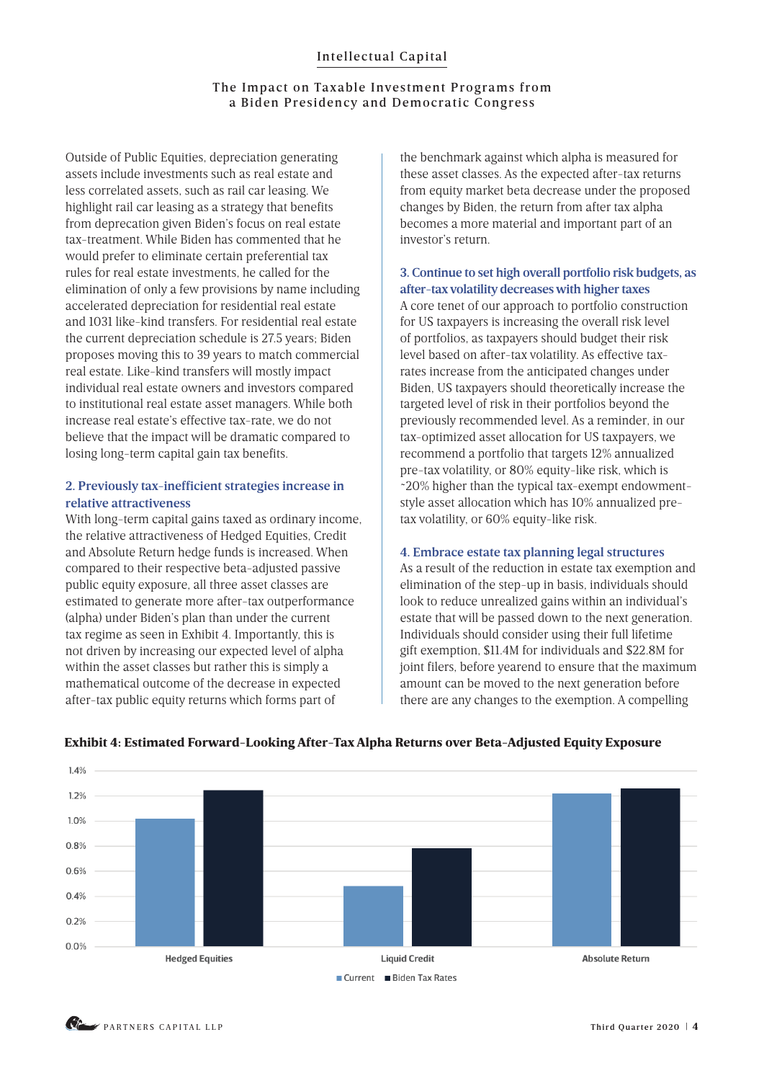#### The Impact on Taxable Investment Programs from a Biden Presidency and Democratic Congress

Outside of Public Equities, depreciation generating assets include investments such as real estate and less correlated assets, such as rail car leasing. We highlight rail car leasing as a strategy that benefits from deprecation given Biden's focus on real estate tax-treatment. While Biden has commented that he would prefer to eliminate certain preferential tax rules for real estate investments, he called for the elimination of only a few provisions by name including accelerated depreciation for residential real estate and 1031 like-kind transfers. For residential real estate the current depreciation schedule is 27.5 years; Biden proposes moving this to 39 years to match commercial real estate. Like-kind transfers will mostly impact individual real estate owners and investors compared to institutional real estate asset managers. While both increase real estate's effective tax-rate, we do not believe that the impact will be dramatic compared to losing long-term capital gain tax benefits.

#### **2. Previously tax-inefficient strategies increase in relative attractiveness**

With long-term capital gains taxed as ordinary income, the relative attractiveness of Hedged Equities, Credit and Absolute Return hedge funds is increased. When compared to their respective beta-adjusted passive public equity exposure, all three asset classes are estimated to generate more after-tax outperformance (alpha) under Biden's plan than under the current tax regime as seen in Exhibit 4. Importantly, this is not driven by increasing our expected level of alpha within the asset classes but rather this is simply a mathematical outcome of the decrease in expected after-tax public equity returns which forms part of

the benchmark against which alpha is measured for these asset classes. As the expected after-tax returns from equity market beta decrease under the proposed changes by Biden, the return from after tax alpha becomes a more material and important part of an investor's return.

#### **3. Continue to set high overall portfolio risk budgets, as after-tax volatility decreases with higher taxes**

A core tenet of our approach to portfolio construction for US taxpayers is increasing the overall risk level of portfolios, as taxpayers should budget their risk level based on after-tax volatility. As effective taxrates increase from the anticipated changes under Biden, US taxpayers should theoretically increase the targeted level of risk in their portfolios beyond the previously recommended level. As a reminder, in our tax-optimized asset allocation for US taxpayers, we recommend a portfolio that targets 12% annualized pre-tax volatility, or 80% equity-like risk, which is ~20% higher than the typical tax-exempt endowmentstyle asset allocation which has 10% annualized pretax volatility, or 60% equity-like risk.

### **4. Embrace estate tax planning legal structures**

As a result of the reduction in estate tax exemption and elimination of the step-up in basis, individuals should look to reduce unrealized gains within an individual's estate that will be passed down to the next generation. Individuals should consider using their full lifetime gift exemption, \$11.4M for individuals and \$22.8M for joint filers, before yearend to ensure that the maximum amount can be moved to the next generation before there are any changes to the exemption. A compelling



### Exhibit 4: Estimated Forward-Looking After-Tax Alpha Returns over Beta-Adjusted Equity Exposure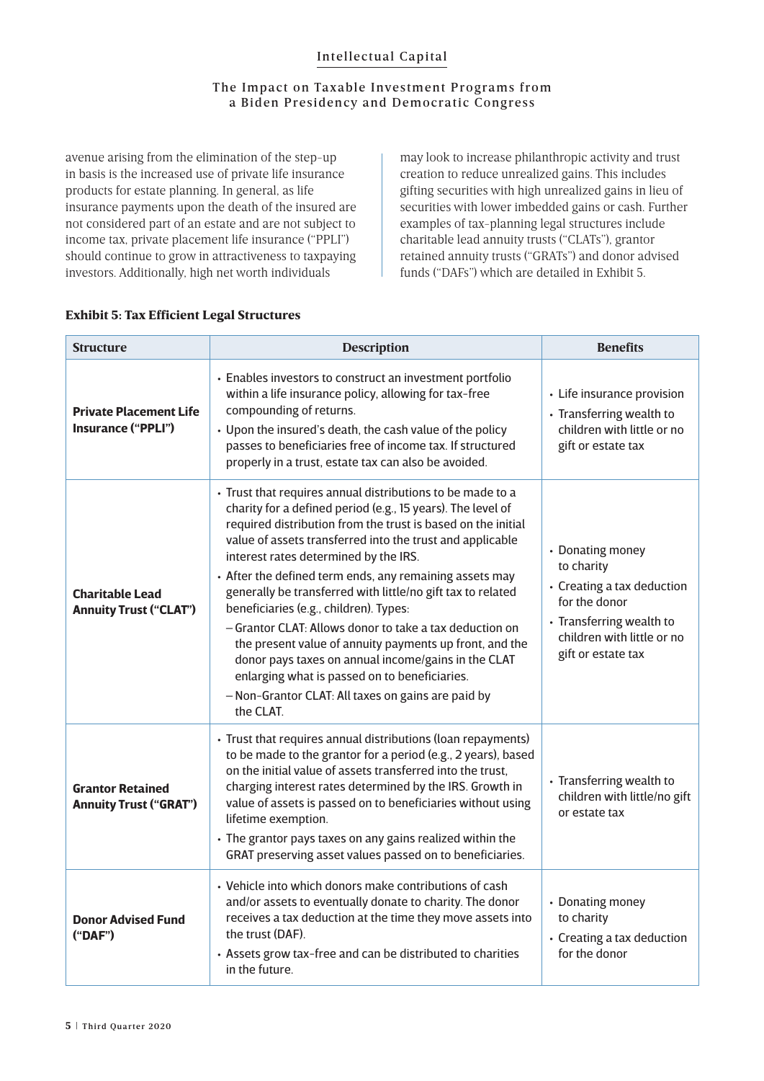## The Impact on Taxable Investment Programs from a Biden Presidency and Democratic Congress

avenue arising from the elimination of the step-up in basis is the increased use of private life insurance products for estate planning. In general, as life insurance payments upon the death of the insured are not considered part of an estate and are not subject to income tax, private placement life insurance ("PPLI") should continue to grow in attractiveness to taxpaying investors. Additionally, high net worth individuals

may look to increase philanthropic activity and trust creation to reduce unrealized gains. This includes gifting securities with high unrealized gains in lieu of securities with lower imbedded gains or cash. Further examples of tax-planning legal structures include charitable lead annuity trusts ("CLATs"), grantor retained annuity trusts ("GRATs") and donor advised funds ("DAFs") which are detailed in Exhibit 5.

| <b>Structure</b>                                           | <b>Description</b>                                                                                                                                                                                                                                                                                                                                                                                                                                                                                                                                                                                                                                                                                                                                                   | <b>Benefits</b>                                                                                                                                               |
|------------------------------------------------------------|----------------------------------------------------------------------------------------------------------------------------------------------------------------------------------------------------------------------------------------------------------------------------------------------------------------------------------------------------------------------------------------------------------------------------------------------------------------------------------------------------------------------------------------------------------------------------------------------------------------------------------------------------------------------------------------------------------------------------------------------------------------------|---------------------------------------------------------------------------------------------------------------------------------------------------------------|
| <b>Private Placement Life</b><br><b>Insurance ("PPLI")</b> | • Enables investors to construct an investment portfolio<br>within a life insurance policy, allowing for tax-free<br>compounding of returns.<br>• Upon the insured's death, the cash value of the policy<br>passes to beneficiaries free of income tax. If structured<br>properly in a trust, estate tax can also be avoided.                                                                                                                                                                                                                                                                                                                                                                                                                                        | • Life insurance provision<br>• Transferring wealth to<br>children with little or no<br>gift or estate tax                                                    |
| <b>Charitable Lead</b><br><b>Annuity Trust ("CLAT")</b>    | • Trust that requires annual distributions to be made to a<br>charity for a defined period (e.g., 15 years). The level of<br>required distribution from the trust is based on the initial<br>value of assets transferred into the trust and applicable<br>interest rates determined by the IRS.<br>• After the defined term ends, any remaining assets may<br>generally be transferred with little/no gift tax to related<br>beneficiaries (e.g., children). Types:<br>– Grantor CLAT: Allows donor to take a tax deduction on<br>the present value of annuity payments up front, and the<br>donor pays taxes on annual income/gains in the CLAT<br>enlarging what is passed on to beneficiaries.<br>- Non-Grantor CLAT: All taxes on gains are paid by<br>the CLAT. | • Donating money<br>to charity<br>• Creating a tax deduction<br>for the donor<br>• Transferring wealth to<br>children with little or no<br>gift or estate tax |
| <b>Grantor Retained</b><br><b>Annuity Trust ("GRAT")</b>   | • Trust that requires annual distributions (loan repayments)<br>to be made to the grantor for a period (e.g., 2 years), based<br>on the initial value of assets transferred into the trust.<br>charging interest rates determined by the IRS. Growth in<br>value of assets is passed on to beneficiaries without using<br>lifetime exemption.<br>• The grantor pays taxes on any gains realized within the<br>GRAT preserving asset values passed on to beneficiaries.                                                                                                                                                                                                                                                                                               | • Transferring wealth to<br>children with little/no gift<br>or estate tax                                                                                     |
| <b>Donor Advised Fund</b><br>("DAF")                       | • Vehicle into which donors make contributions of cash<br>and/or assets to eventually donate to charity. The donor<br>receives a tax deduction at the time they move assets into<br>the trust (DAF).<br>• Assets grow tax-free and can be distributed to charities<br>in the future.                                                                                                                                                                                                                                                                                                                                                                                                                                                                                 | • Donating money<br>to charity<br>• Creating a tax deduction<br>for the donor                                                                                 |

#### Exhibit 5: Tax Efficient Legal Structures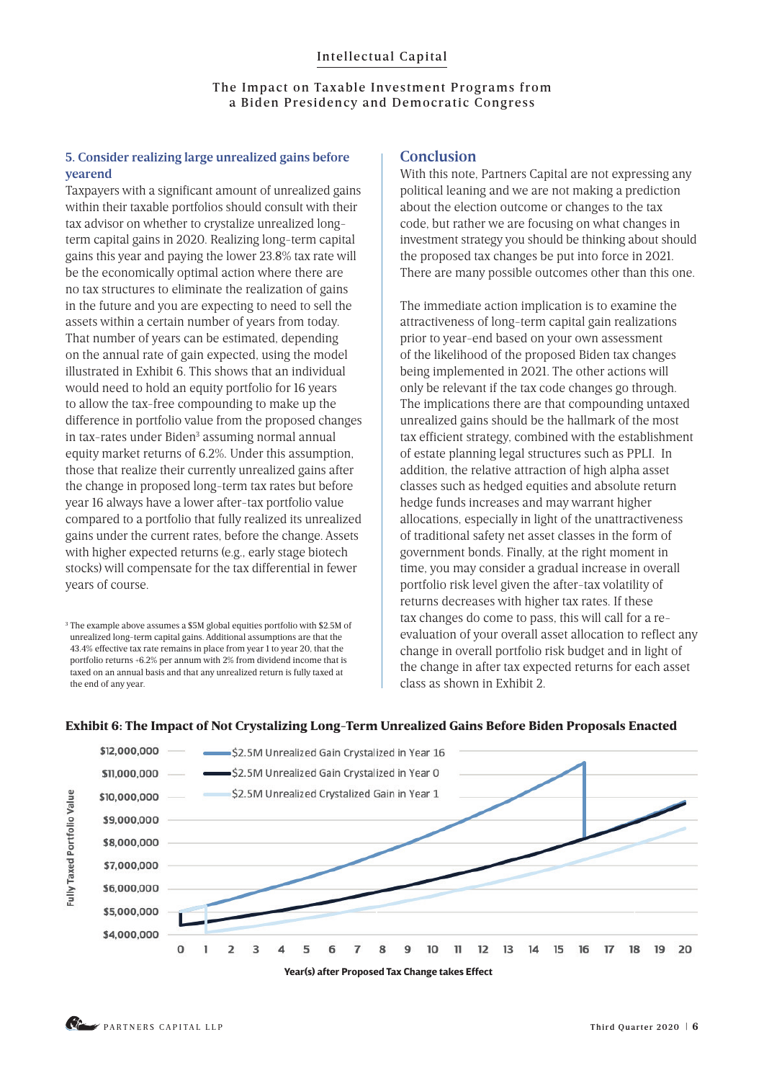#### The Impact on Taxable Investment Programs from a Biden Presidency and Democratic Congress

## **5. Consider realizing large unrealized gains before yearend**

Taxpayers with a significant amount of unrealized gains within their taxable portfolios should consult with their tax advisor on whether to crystalize unrealized longterm capital gains in 2020. Realizing long-term capital gains this year and paying the lower 23.8% tax rate will be the economically optimal action where there are no tax structures to eliminate the realization of gains in the future and you are expecting to need to sell the assets within a certain number of years from today. That number of years can be estimated, depending on the annual rate of gain expected, using the model illustrated in Exhibit 6. This shows that an individual would need to hold an equity portfolio for 16 years to allow the tax-free compounding to make up the difference in portfolio value from the proposed changes in tax-rates under Biden<sup>3</sup> assuming normal annual equity market returns of 6.2%. Under this assumption, those that realize their currently unrealized gains after the change in proposed long-term tax rates but before year 16 always have a lower after-tax portfolio value compared to a portfolio that fully realized its unrealized gains under the current rates, before the change. Assets with higher expected returns (e.g., early stage biotech stocks) will compensate for the tax differential in fewer years of course.

3 The example above assumes a \$5M global equities portfolio with \$2.5M of unrealized long-term capital gains. Additional assumptions are that the 43.4% effective tax rate remains in place from year 1 to year 20, that the portfolio returns +6.2% per annum with 2% from dividend income that is taxed on an annual basis and that any unrealized return is fully taxed at the end of any year.

## **Conclusion**

With this note, Partners Capital are not expressing any political leaning and we are not making a prediction about the election outcome or changes to the tax code, but rather we are focusing on what changes in investment strategy you should be thinking about should the proposed tax changes be put into force in 2021. There are many possible outcomes other than this one.

The immediate action implication is to examine the attractiveness of long-term capital gain realizations prior to year-end based on your own assessment of the likelihood of the proposed Biden tax changes being implemented in 2021. The other actions will only be relevant if the tax code changes go through. The implications there are that compounding untaxed unrealized gains should be the hallmark of the most tax efficient strategy, combined with the establishment of estate planning legal structures such as PPLI. In addition, the relative attraction of high alpha asset classes such as hedged equities and absolute return hedge funds increases and may warrant higher allocations, especially in light of the unattractiveness of traditional safety net asset classes in the form of government bonds. Finally, at the right moment in time, you may consider a gradual increase in overall portfolio risk level given the after-tax volatility of returns decreases with higher tax rates. If these tax changes do come to pass, this will call for a reevaluation of your overall asset allocation to reflect any change in overall portfolio risk budget and in light of the change in after tax expected returns for each asset class as shown in Exhibit 2.





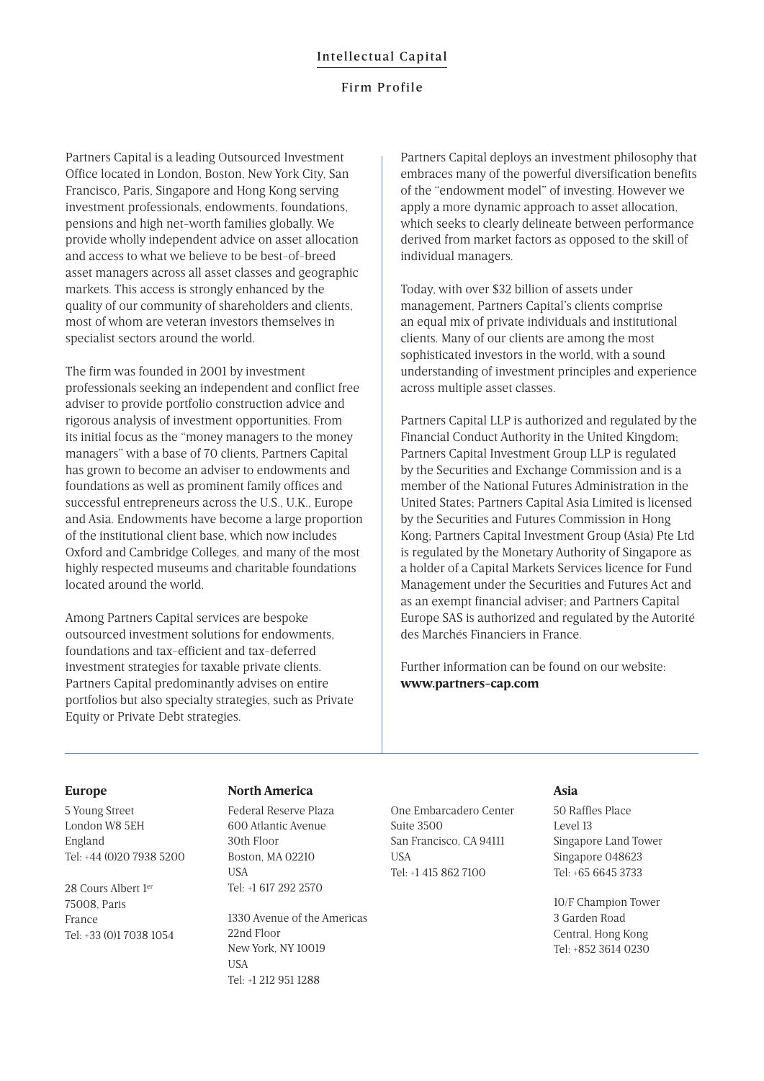#### Firm Profile

Partners Capital is a leading Outsourced Investment Office located in London, Boston, New York City, San Francisco, Paris, Singapore and Hong Kong serving investment professionals, endowments, foundations, pensions and high net-worth families globally. We provide wholly independent advice on asset allocation and access to what we believe to be best-of-breed asset managers across all asset classes and geographic markets. This access is strongly enhanced by the quality of our community of shareholders and clients, most of whom are veteran investors themselves in specialist sectors around the world.

The firm was founded in 2001 by investment professionals seeking an independent and conflict free adviser to provide portfolio construction advice and rigorous analysis of investment opportunities. From its initial focus as the "money managers to the money managers" with a base of 70 clients, Partners Capital has grown to become an adviser to endowments and foundations as well as prominent family offices and successful entrepreneurs across the U.S., U.K., Europe and Asia. Endowments have become a large proportion of the institutional client base, which now includes Oxford and Cambridge Colleges, and many of the most highly respected museums and charitable foundations located around the world.

Among Partners Capital services are bespoke outsourced investment solutions for endowments, foundations and tax-efficient and tax-deferred investment strategies for taxable private clients. Partners Capital predominantly advises on entire portfolios but also specialty strategies, such as Private Equity or Private Debt strategies.

Partners Capital deploys an investment philosophy that embraces many of the powerful diversification benefits of the "endowment model" of investing. However we apply a more dynamic approach to asset allocation, which seeks to clearly delineate between performance derived from market factors as opposed to the skill of individual managers.

Today, with over \$32 billion of assets under management, Partners Capital's clients comprise an equal mix of private individuals and institutional clients. Many of our clients are among the most sophisticated investors in the world, with a sound understanding of investment principles and experience across multiple asset classes.

Partners Capital LLP is authorized and regulated by the Financial Conduct Authority in the United Kingdom; Partners Capital Investment Group LLP is regulated by the Securities and Exchange Commission and is a member of the National Futures Administration in the United States; Partners Capital Asia Limited is licensed by the Securities and Futures Commission in Hong Kong; Partners Capital Investment Group (Asia) Pte Ltd is regulated by the Monetary Authority of Singapore as a holder of a Capital Markets Services licence for Fund Management under the Securities and Futures Act and as an exempt financial adviser; and Partners Capital Europe SAS is authorized and regulated by the Autorité des Marchés Financiers in France.

Further information can be found on our website: **www.partners-cap.com**

#### **Europe**

5 Young Street London W8 5EH England Tel: +44 (0)20 7938 5200

28 Cours Albert 1er 75008, Paris France Tel: +33 (0)1 7038 1054

#### **North America**

Federal Reserve Plaza 600 Atlantic Avenue 30th Floor Boston, MA 02210 **IISA** Tel: +1 617 292 2570

1330 Avenue of the Americas 22nd Floor New York, NY 10019 **IISA** Tel: +1 212 951 1288

One Embarcadero Center Suite 3500 San Francisco, CA 94111 **IICA** Tel: +1 415 862 7100

#### **Asia**

50 Raffles Place  $L$ evel 13 Singapore Land Tower Singapore 048623 Tel: +65 6645 3733

10/F Champion Tower 3 Garden Road Central, Hong Kong Tel: +852 3614 0230